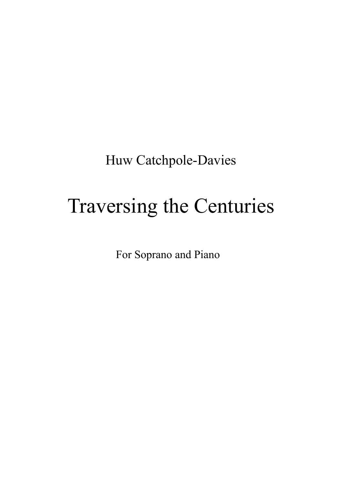Huw Catchpole-Davies

## Traversing the Centuries

For Soprano and Piano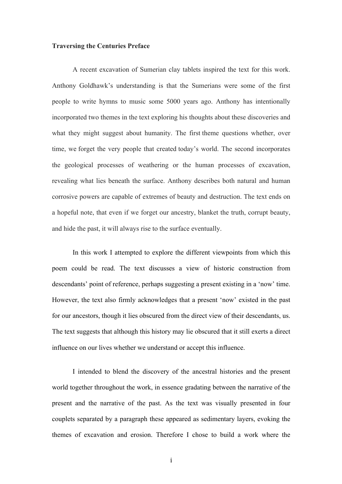## **Traversing the Centuries Preface**

A recent excavation of Sumerian clay tablets inspired the text for this work. Anthony Goldhawk's understanding is that the Sumerians were some of the first people to write hymns to music some 5000 years ago. Anthony has intentionally incorporated two themes in the text exploring his thoughts about these discoveries and what they might suggest about humanity. The first theme questions whether, over time, we forget the very people that created today's world. The second incorporates the geological processes of weathering or the human processes of excavation, revealing what lies beneath the surface. Anthony describes both natural and human corrosive powers are capable of extremes of beauty and destruction. The text ends on a hopeful note, that even if we forget our ancestry, blanket the truth, corrupt beauty, and hide the past, it will always rise to the surface eventually.

In this work I attempted to explore the different viewpoints from which this poem could be read. The text discusses a view of historic construction from descendants' point of reference, perhaps suggesting a present existing in a 'now' time. However, the text also firmly acknowledges that a present 'now' existed in the past for our ancestors, though it lies obscured from the direct view of their descendants, us. The text suggests that although this history may lie obscured that it still exerts a direct influence on our lives whether we understand or accept this influence.

I intended to blend the discovery of the ancestral histories and the present world together throughout the work, in essence gradating between the narrative of the present and the narrative of the past. As the text was visually presented in four couplets separated by a paragraph these appeared as sedimentary layers, evoking the themes of excavation and erosion. Therefore I chose to build a work where the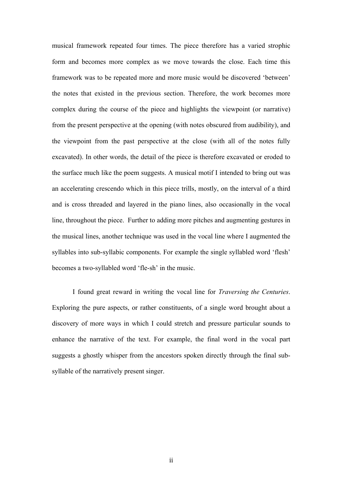musical framework repeated four times. The piece therefore has a varied strophic form and becomes more complex as we move towards the close. Each time this framework was to be repeated more and more music would be discovered 'between' the notes that existed in the previous section. Therefore, the work becomes more complex during the course of the piece and highlights the viewpoint (or narrative) from the present perspective at the opening (with notes obscured from audibility), and the viewpoint from the past perspective at the close (with all of the notes fully excavated). In other words, the detail of the piece is therefore excavated or eroded to the surface much like the poem suggests. A musical motif I intended to bring out was an accelerating crescendo which in this piece trills, mostly, on the interval of a third and is cross threaded and layered in the piano lines, also occasionally in the vocal line, throughout the piece. Further to adding more pitches and augmenting gestures in the musical lines, another technique was used in the vocal line where I augmented the syllables into sub-syllabic components. For example the single syllabled word 'flesh' becomes a two-syllabled word 'fle-sh' in the music.

I found great reward in writing the vocal line for *Traversing the Centuries*. Exploring the pure aspects, or rather constituents, of a single word brought about a discovery of more ways in which I could stretch and pressure particular sounds to enhance the narrative of the text. For example, the final word in the vocal part suggests a ghostly whisper from the ancestors spoken directly through the final subsyllable of the narratively present singer.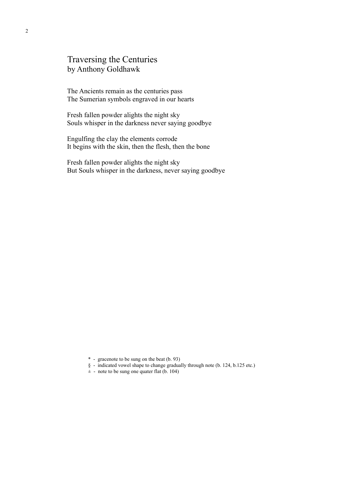## Traversing the Centuries by Anthony Goldhawk

The Ancients remain as the centuries pass The Sumerian symbols engraved in our hearts

Fresh fallen powder alights the night sky Souls whisper in the darkness never saying goodbye

Engulfing the clay the elements corrode It begins with the skin, then the flesh, then the bone

Fresh fallen powder alights the night sky But Souls whisper in the darkness, never saying goodbye

- § indicated vowel shape to change gradually through note (b. 124, b.125 etc.)
- $\pm$  note to be sung one quater flat (b. 104)

<sup>\* -</sup> gracenote to be sung on the beat (b. 93)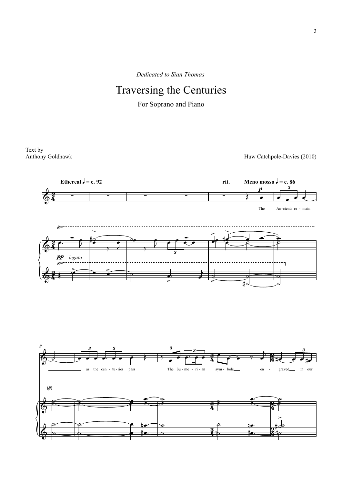Dedicated to Sian Thomas

## Traversing the Centuries

For Soprano and Piano

Text by<br>Anthony Goldhawk

Huw Catchpole-Davies (2010)

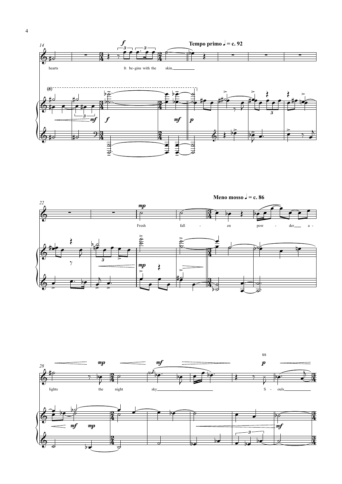



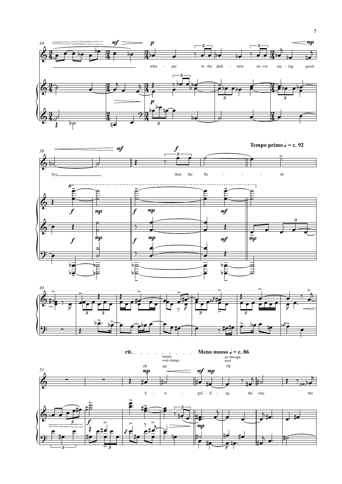





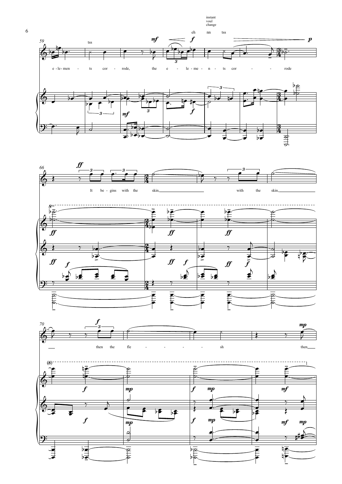





 $\overline{6}$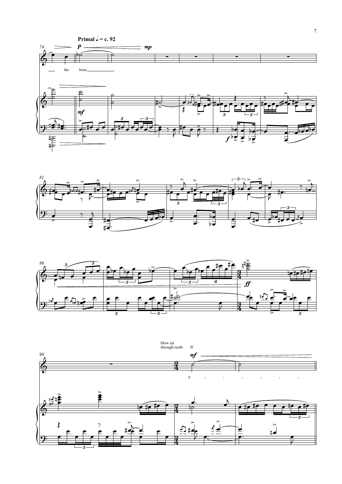





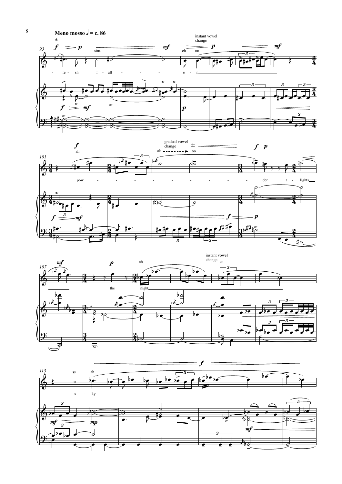







 $\boldsymbol{8}$